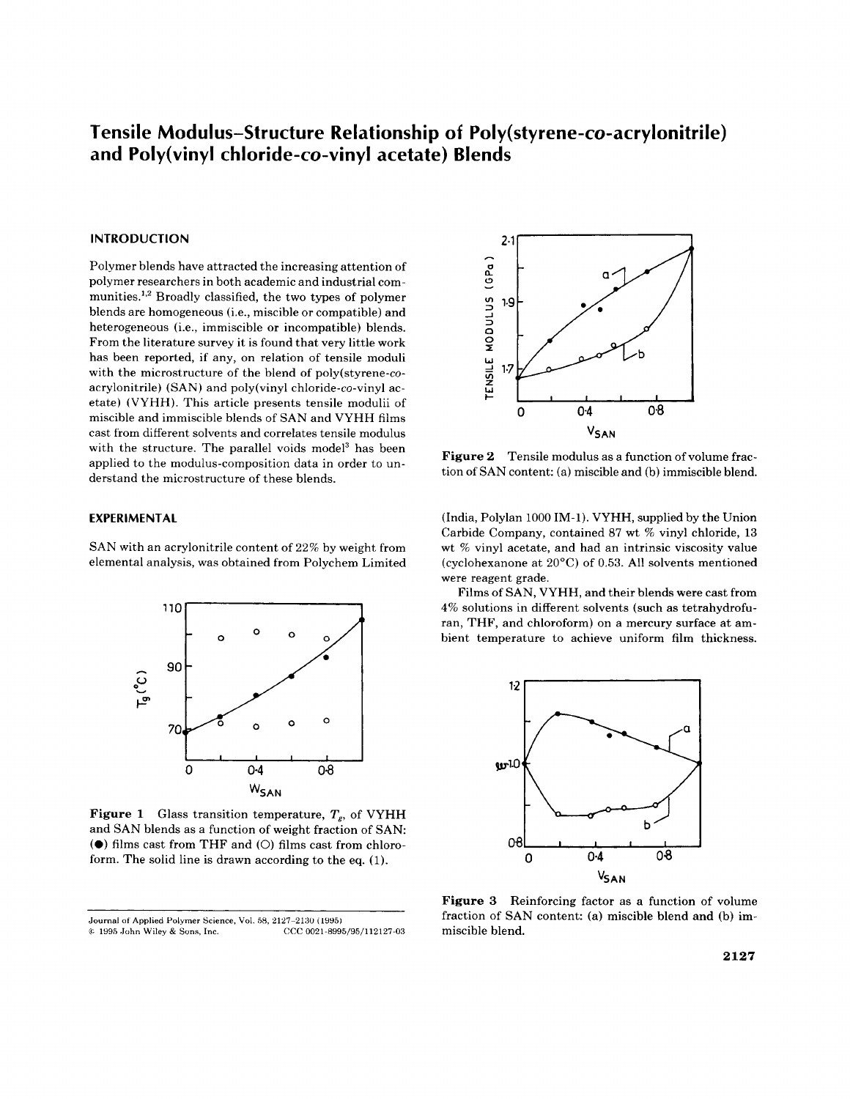# Tensile Modulus–Structure Relationship of Poly(styrene-co-acrylonitrile)<br>and Poly(vinyl chloride-co-vinyl acetate) Blends **and Poly(viny1 chloride-co-vinyl acetate) Blends**

# **INTRODUCTION**

with the structure. The parallel voids model<sup>3</sup> has been etate) (VYHH). This article presents tensile modulii of cast from different solvents and correlates tensile modulus polymer researchers in both academic and industrial comblends are homogeneous (i.e., miscible or compatible) and derstand the microstructure of these blends. with the microstructure of the blend of poly(styrene-coapplied to the modulus-composition data in order to unacrylonitrile) (SAN) and poly(viny1 chloride-co-vinyl acmunities.<sup>1,2</sup> Broadly classified, the two types of polymer miscible and immiscible blends of SAN and VYHH films Polymer blends have attracted the increasing attention of heterogeneous (i.e., immiscible **or**  incompatible) blends. From the literature survey it is found that very little work has been reported, if any, on relation of tensile moduli

## **EXPERIMENTAL**

elemental analysis, was obtained from Polychem Limited SAN with an acrylonitrile content of 22% by weight from



and SAN blends as a function of weight fraction of SAN: **Figure 1** Glass transition temperature,  $T_g$ , of VYHH form. The solid line is drawn according to the eq. (1).  $\bullet$ ) films cast from THF and  $\circ$ ) films cast from chloro-



tion of SAN content: (a) miscible and (b) immiscible blend. Figure 2 Tensile modulus as a function of volume frac-

wt % vinyl acetate, and had an intrinsic viscosity value were reagent grade. Carbide Company, contained 87 wt % vinyl chloride, 13 (India, Polylan 1000 IM-1). VYHH, supplied by the Union (cyclohexanone at 20°C) of 0.53. All solvents mentioned

bient temperature to achieve uniform film thickness. **4%**  solutions in different solvents (such as tetrahydrofuran, THF, and chloroform) on a mercury surface at am-Films of SAN, VYHH, and their blends were cast from



miscible blend. **Figure 3**  Reinforcing factor as **a**  function **of**  volume fraction of SAN content: (a) miscible blend and (b) im-

**Journal of Applied Polymer Science, Vol. 58, 2127–2130 (1995)**  $6.1995$  John Wiley & Sons, Inc. *CCC*  002 1 -899S/9S/112127-03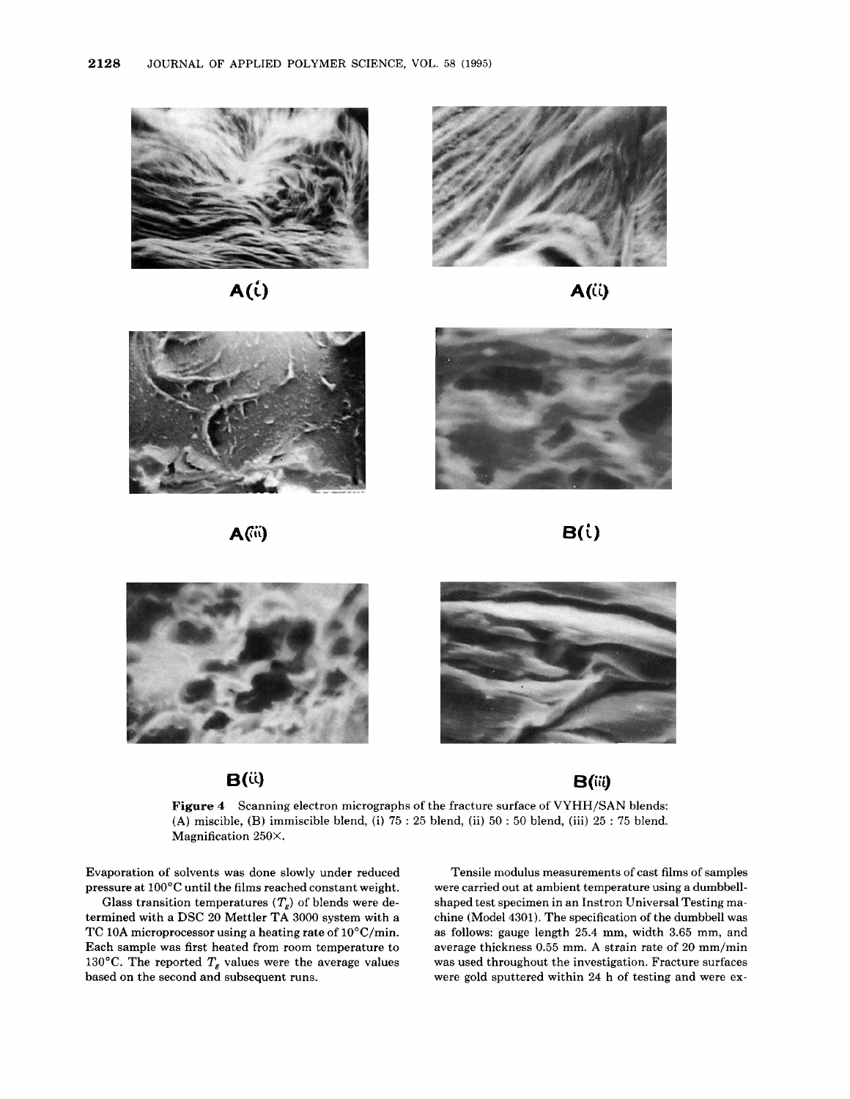





 $A(i)$ 



 $A(i)$ 











**Figure 4** Scanning electron micrographs of the fracture surface of VYHH/SAN (A) miscible, **(B)** immiscible blend, (i) 75 : 25 blend, (ii) 50 : 50 blend, (iii) 25 : 75 blend. Magnification 250X.

Evaporation **of** solvents was done slowly under reduced pressure at 100 $^{\circ}$ C until the films reached constant weight.<br>Glass transition temperatures  $(T_g)$  of blends were de-

termined with a DSC 20 Mettler TA 3000 system with a TC **10A** microprocessor using a heating rate of 10°C/min. Each sample was first heated from room temperature to based on the second and subsequent runs.

Figure 4 Scanning electron incrographs of the fracture surface of v FHH/SAN olends:<br>
(A) miscible, (B) immiscible blend, (i) 75 : 25 blend, (ii) 50 : 50 blend, (iii) 25 : 75 blend.<br>
Magnification 250×.<br>
aporation of solve Evaporation of solvents was done slowly under reduced<br>
pressure at 100°C until the films reached constant weight.<br>
Glass transition temperatures  $(T_g)$  of blends were de-<br>
termined with a DSC 20 Mettler TA 3000 system with Tensile modulus measurements **of** cast films of samples were carried out at ambient temperature using a dumbbellshaped test specimen in an Instron Universal Testing machine (Model 4301). The specification of the dumbbell was as follows: gauge length 25.4 mm, width 3.65 mm, and average thickness 0.55 mm. A strain rate of 20 mm/min was used throughout the investigation. Fracture surfaces were gold sputtered within 24 h of testing and were ex